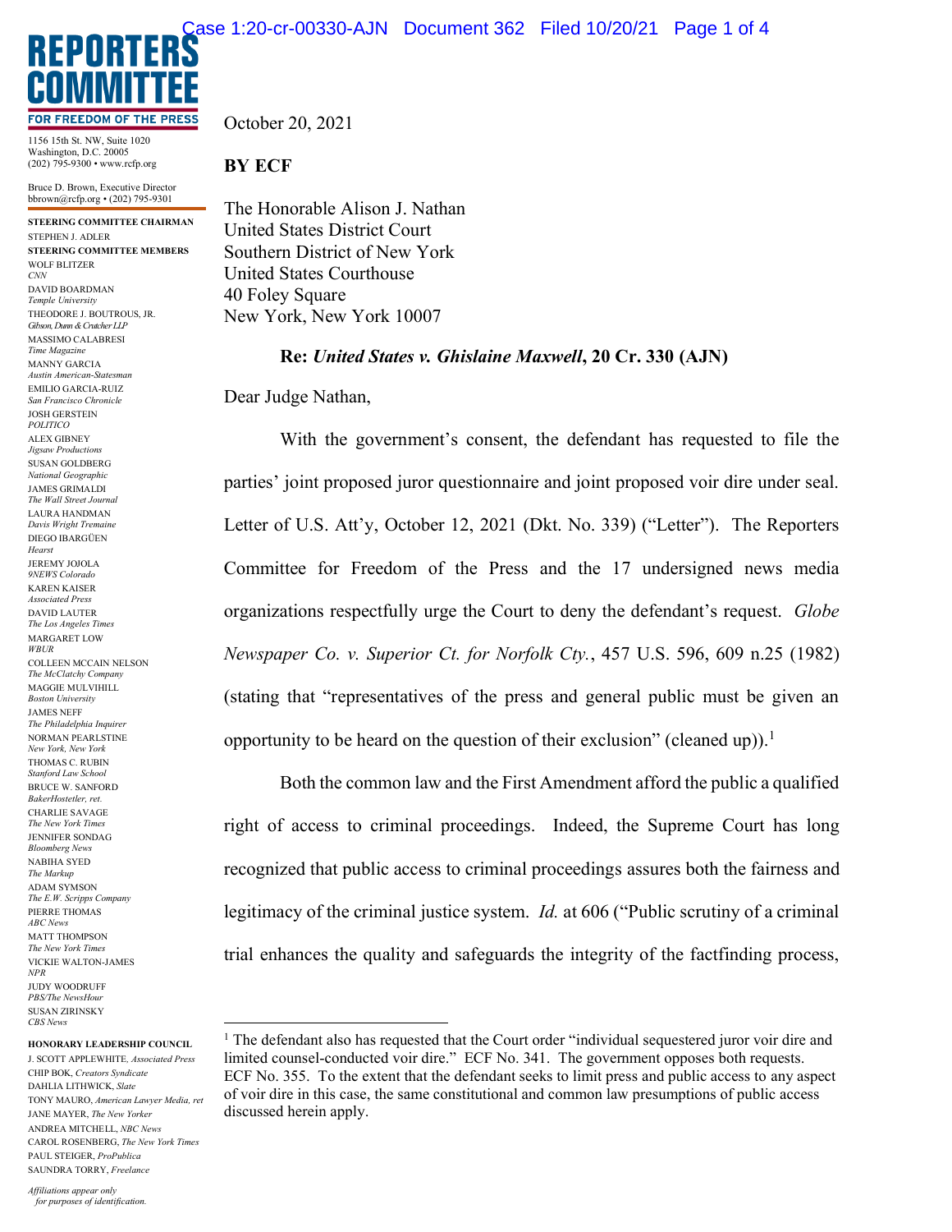

1156 15th St. NW, Suite 1020 Washington, D.C. 20005 (202) 795-9300 • www.rcfp.org

Bruce D. Brown, Executive Director bbrown@rcfp.org • (202) 795-9301

**STEERING COMMITTEE CHAIRMAN** STEPHEN J. ADLER **STEERING COMMITTEE MEMBERS** WOLF BLITZER *CNN* DAVID BOARDMAN *Temple University* THEODORE J. BOUTROUS, JR. *Gibson, Dunn & Crutcher LLP* MASSIMO CALABRESI *Time Magazine* MANNY GARCIA *Austin American-Statesman* EMILIO GARCIA-RUIZ *San Francisco Chronicle* JOSH GERSTEIN *POLITICO* ALEX GIBNEY *Jigsaw Productions* SUSAN GOLDBERG *National Geographic* JAMES GRIMALDI *The Wall Street Journal* LAURA HANDMAN *Davis Wright Tremaine* DIEGO IBARGÜEN *Hearst* JEREMY JOJOLA *9NEWS Colorado* KAREN KAISER *Associated Press* DAVID LAUTER *The Los Angeles Times* MARGARET LOW *WBUR* COLLEEN MCCAIN NELSON *The McClatchy Company* MAGGIE MULVIHILL *Boston University* JAMES NEFF *The Philadelphia Inquirer* NORMAN PEARLSTINE *New York, New York* THOMAS C. RUBIN *Stanford Law School* BRUCE W. SANFORD *BakerHostetler, ret.* CHARLIE SAVAGE *The New York Times* JENNIFER SONDAG *Bloomberg News* NABIHA SYED *The Markup* ADAM SYMSON *The E.W. Scripps Company* PIERRE THOMAS *ABC News* MATT THOMPSON *The New York Times* VICKIE WALTON-JAMES *NPR* JUDY WOODRUFF *PBS/The NewsHour* SUSAN ZIRINSKY *CBS News*

## **HONORARY LEADERSHIP COUNCIL**

J. SCOTT APPLEWHITE*, Associated Press* CHIP BOK, *Creators Syndicate* DAHLIA LITHWICK, *Slate* TONY MAURO, *American Lawyer Media, ret* JANE MAYER, *The New Yorker* ANDREA MITCHELL, *NBC News* CAROL ROSENBERG, *The New York Times* PAUL STEIGER, *ProPublica* SAUNDRA TORRY, *Freelance*

October 20, 2021

## **BY ECF**

The Honorable Alison J. Nathan United States District Court Southern District of New York United States Courthouse 40 Foley Square New York, New York 10007

**Re:** *United States v. Ghislaine Maxwell***, 20 Cr. 330 (AJN)**

Dear Judge Nathan,

With the government's consent, the defendant has requested to file the parties' joint proposed juror questionnaire and joint proposed voir dire under seal. Letter of U.S. Att'y, October 12, 2021 (Dkt. No. 339) ("Letter"). The Reporters Committee for Freedom of the Press and the 17 undersigned news media organizations respectfully urge the Court to deny the defendant's request. *Globe Newspaper Co. v. Superior Ct. for Norfolk Cty.*, 457 U.S. 596, 609 n.25 (1982) (stating that "representatives of the press and general public must be given an opportunity to be heard on the question of their exclusion" (cleaned up)).<sup>1</sup>

Both the common law and the First Amendment afford the public a qualified right of access to criminal proceedings. Indeed, the Supreme Court has long recognized that public access to criminal proceedings assures both the fairness and legitimacy of the criminal justice system. *Id.* at 606 ("Public scrutiny of a criminal trial enhances the quality and safeguards the integrity of the factfinding process,

<sup>&</sup>lt;sup>1</sup> The defendant also has requested that the Court order "individual sequestered juror voir dire and limited counsel-conducted voir dire." ECF No. 341. The government opposes both requests. ECF No. 355. To the extent that the defendant seeks to limit press and public access to any aspect of voir dire in this case, the same constitutional and common law presumptions of public access discussed herein apply.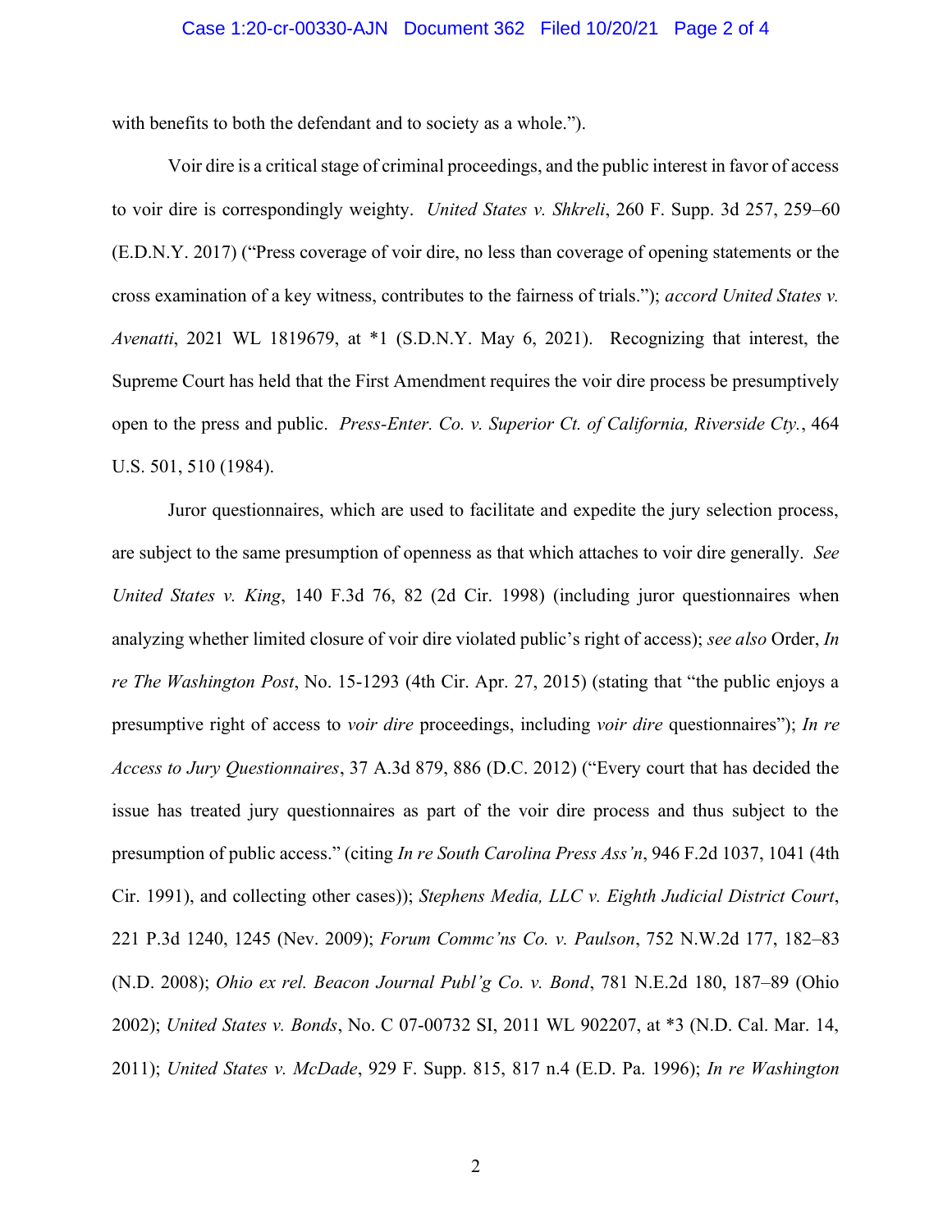## Case 1:20-cr-00330-AJN Document 362 Filed 10/20/21 Page 2 of 4

with benefits to both the defendant and to society as a whole.").

Voir dire is a critical stage of criminal proceedings, and the public interest in favor of access to voir dire is correspondingly weighty. *United States v. Shkreli*, 260 F. Supp. 3d 257, 259–60 (E.D.N.Y. 2017) ("Press coverage of voir dire, no less than coverage of opening statements or the cross examination of a key witness, contributes to the fairness of trials."); *accord United States v. Avenatti*, 2021 WL 1819679, at \*1 (S.D.N.Y. May 6, 2021). Recognizing that interest, the Supreme Court has held that the First Amendment requires the voir dire process be presumptively open to the press and public. *Press-Enter. Co. v. Superior Ct. of California, Riverside Cty.*, 464 U.S. 501, 510 (1984).

Juror questionnaires, which are used to facilitate and expedite the jury selection process, are subject to the same presumption of openness as that which attaches to voir dire generally. *See United States v. King*, 140 F.3d 76, 82 (2d Cir. 1998) (including juror questionnaires when analyzing whether limited closure of voir dire violated public's right of access); *see also* Order, *In re The Washington Post*, No. 15-1293 (4th Cir. Apr. 27, 2015) (stating that "the public enjoys a presumptive right of access to *voir dire* proceedings, including *voir dire* questionnaires"); *In re Access to Jury Questionnaires*, 37 A.3d 879, 886 (D.C. 2012) ("Every court that has decided the issue has treated jury questionnaires as part of the voir dire process and thus subject to the presumption of public access." (citing *In re South Carolina Press Ass'n*, 946 F.2d 1037, 1041 (4th Cir. 1991), and collecting other cases)); *Stephens Media, LLC v. Eighth Judicial District Court*, 221 P.3d 1240, 1245 (Nev. 2009); *Forum Commc'ns Co. v. Paulson*, 752 N.W.2d 177, 182–83 (N.D. 2008); *Ohio ex rel. Beacon Journal Publ'g Co. v. Bond*, 781 N.E.2d 180, 187–89 (Ohio 2002); *United States v. Bonds*, No. C 07-00732 SI, 2011 WL 902207, at \*3 (N.D. Cal. Mar. 14, 2011); *United States v. McDade*, 929 F. Supp. 815, 817 n.4 (E.D. Pa. 1996); *In re Washington*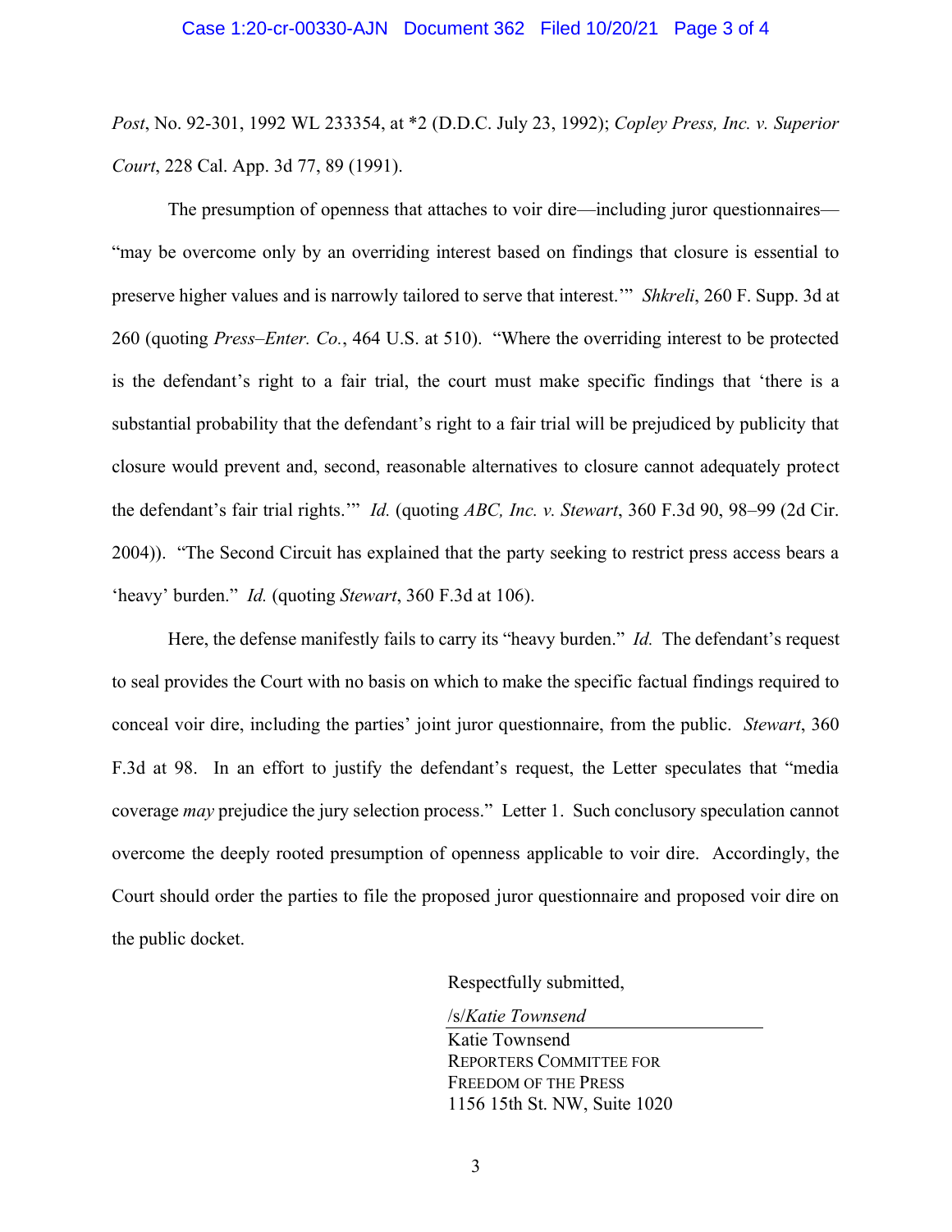*Post*, No. 92-301, 1992 WL 233354, at \*2 (D.D.C. July 23, 1992); *Copley Press, Inc. v. Superior Court*, 228 Cal. App. 3d 77, 89 (1991).

The presumption of openness that attaches to voir dire—including juror questionnaires— "may be overcome only by an overriding interest based on findings that closure is essential to preserve higher values and is narrowly tailored to serve that interest.'" *Shkreli*, 260 F. Supp. 3d at 260 (quoting *Press–Enter. Co.*, 464 U.S. at 510). "Where the overriding interest to be protected is the defendant's right to a fair trial, the court must make specific findings that 'there is a substantial probability that the defendant's right to a fair trial will be prejudiced by publicity that closure would prevent and, second, reasonable alternatives to closure cannot adequately protect the defendant's fair trial rights.'" *Id.* (quoting *ABC, Inc. v. Stewart*, 360 F.3d 90, 98–99 (2d Cir. 2004)). "The Second Circuit has explained that the party seeking to restrict press access bears a 'heavy' burden." *Id.* (quoting *Stewart*, 360 F.3d at 106).

Here, the defense manifestly fails to carry its "heavy burden." *Id.* The defendant's request to seal provides the Court with no basis on which to make the specific factual findings required to conceal voir dire, including the parties' joint juror questionnaire, from the public. *Stewart*, 360 F.3d at 98. In an effort to justify the defendant's request, the Letter speculates that "media coverage *may* prejudice the jury selection process." Letter 1. Such conclusory speculation cannot overcome the deeply rooted presumption of openness applicable to voir dire. Accordingly, the Court should order the parties to file the proposed juror questionnaire and proposed voir dire on the public docket.

Respectfully submitted,

/s/*Katie Townsend* Katie Townsend REPORTERS COMMITTEE FOR FREEDOM OF THE PRESS 1156 15th St. NW, Suite 1020